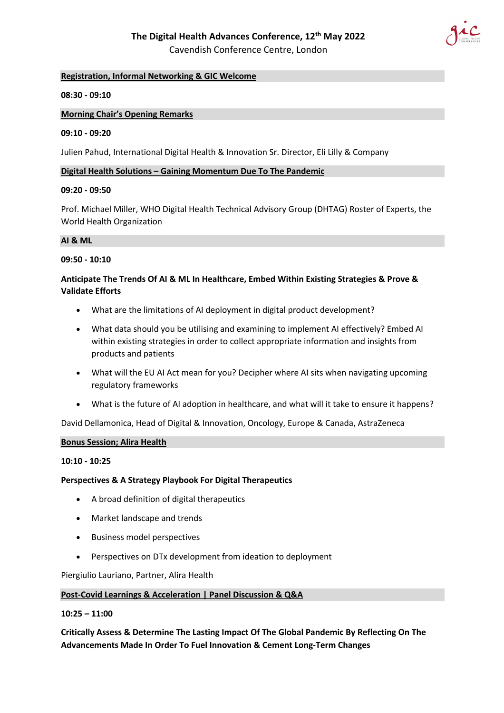

## **Registration, Informal Networking & GIC Welcome**

### **08:30 - 09:10**

#### **Morning Chair's Opening Remarks**

#### **09:10 - 09:20**

Julien Pahud, International Digital Health & Innovation Sr. Director, Eli Lilly & Company

#### **Digital Health Solutions – Gaining Momentum Due To The Pandemic**

### **09:20 - 09:50**

Prof. Michael Miller, WHO Digital Health Technical Advisory Group (DHTAG) Roster of Experts, the World Health Organization

### **AI & ML**

#### **09:50 - 10:10**

## **Anticipate The Trends Of AI & ML In Healthcare, Embed Within Existing Strategies & Prove & Validate Efforts**

- What are the limitations of AI deployment in digital product development?
- What data should you be utilising and examining to implement AI effectively? Embed AI within existing strategies in order to collect appropriate information and insights from products and patients
- What will the EU AI Act mean for you? Decipher where AI sits when navigating upcoming regulatory frameworks
- What is the future of AI adoption in healthcare, and what will it take to ensure it happens?

David Dellamonica, Head of Digital & Innovation, Oncology, Europe & Canada, AstraZeneca

#### **Bonus Session; Alira Health**

#### **10:10 - 10:25**

## **Perspectives & A Strategy Playbook For Digital Therapeutics**

- A broad definition of digital therapeutics
- Market landscape and trends
- Business model perspectives
- Perspectives on DTx development from ideation to deployment

Piergiulio Lauriano, Partner, Alira Health

#### **Post-Covid Learnings & Acceleration | Panel Discussion & Q&A**

#### **10:25 – 11:00**

**Critically Assess & Determine The Lasting Impact Of The Global Pandemic By Reflecting On The Advancements Made In Order To Fuel Innovation & Cement Long-Term Changes**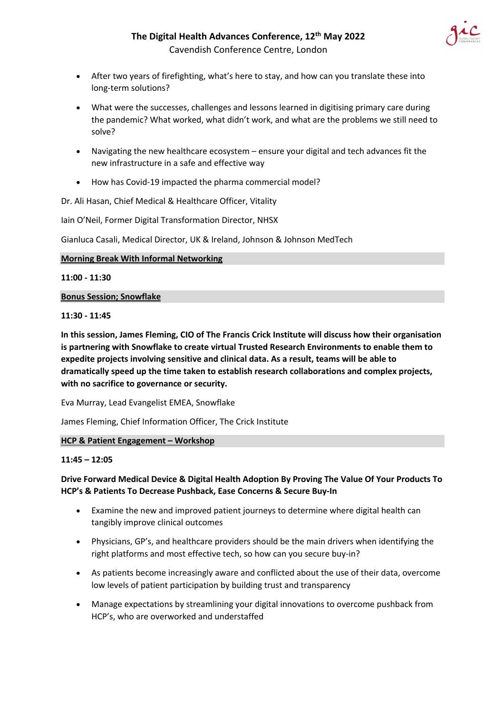

- After two years of firefighting, what's here to stay, and how can you translate these into long-term solutions?
- What were the successes, challenges and lessons learned in digitising primary care during the pandemic? What worked, what didn't work, and what are the problems we still need to solve?
- Navigating the new healthcare ecosystem ensure your digital and tech advances fit the new infrastructure in a safe and effective way
- How has Covid-19 impacted the pharma commercial model?

Dr. Ali Hasan, Chief Medical & Healthcare Officer, Vitality

Iain O'Neil, Former Digital Transformation Director, NHSX

Gianluca Casali, Medical Director, UK & Ireland, Johnson & Johnson MedTech

## **Morning Break With Informal Networking**

**11:00 - 11:30**

## **Bonus Session; Snowflake**

## **11:30 - 11:45**

**In this session, James Fleming, CIO of The Francis Crick Institute will discuss how their organisation is partnering with Snowflake to create virtual Trusted Research Environments to enable them to expedite projects involving sensitive and clinical data. As a result, teams will be able to dramatically speed up the time taken to establish research collaborations and complex projects, with no sacrifice to governance or security.**

Eva Murray, Lead Evangelist EMEA, Snowflake

James Fleming, Chief Information Officer, The Crick Institute

## **HCP & Patient Engagement – Workshop**

## **11:45 – 12:05**

# **Drive Forward Medical Device & Digital Health Adoption By Proving The Value Of Your Products To HCP's & Patients To Decrease Pushback, Ease Concerns & Secure Buy-In**

- Examine the new and improved patient journeys to determine where digital health can tangibly improve clinical outcomes
- Physicians, GP's, and healthcare providers should be the main drivers when identifying the right platforms and most effective tech, so how can you secure buy-in?
- As patients become increasingly aware and conflicted about the use of their data, overcome low levels of patient participation by building trust and transparency
- Manage expectations by streamlining your digital innovations to overcome pushback from HCP's, who are overworked and understaffed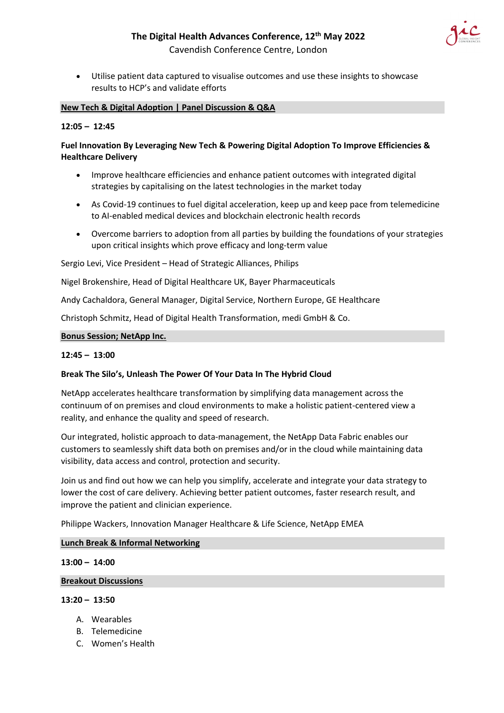# **The Digital Health Advances Conference, 12th May 2022**



Cavendish Conference Centre, London

• Utilise patient data captured to visualise outcomes and use these insights to showcase results to HCP's and validate efforts

### **New Tech & Digital Adoption | Panel Discussion & Q&A**

## **12:05 – 12:45**

## **Fuel Innovation By Leveraging New Tech & Powering Digital Adoption To Improve Efficiencies & Healthcare Delivery**

- Improve healthcare efficiencies and enhance patient outcomes with integrated digital strategies by capitalising on the latest technologies in the market today
- As Covid-19 continues to fuel digital acceleration, keep up and keep pace from telemedicine to AI-enabled medical devices and blockchain electronic health records
- Overcome barriers to adoption from all parties by building the foundations of your strategies upon critical insights which prove efficacy and long-term value

Sergio Levi, Vice President – Head of Strategic Alliances, Philips

Nigel Brokenshire, Head of Digital Healthcare UK, Bayer Pharmaceuticals

Andy Cachaldora, General Manager, Digital Service, Northern Europe, GE Healthcare

Christoph Schmitz, Head of Digital Health Transformation, medi GmbH & Co.

#### **Bonus Session; NetApp Inc.**

#### **12:45 – 13:00**

#### **Break The Silo's, Unleash The Power Of Your Data In The Hybrid Cloud**

NetApp accelerates healthcare transformation by simplifying data management across the continuum of on premises and cloud environments to make a holistic patient-centered view a reality, and enhance the quality and speed of research.

Our integrated, holistic approach to data-management, the NetApp Data Fabric enables our customers to seamlessly shift data both on premises and/or in the cloud while maintaining data visibility, data access and control, protection and security.

Join us and find out how we can help you simplify, accelerate and integrate your data strategy to lower the cost of care delivery. Achieving better patient outcomes, faster research result, and improve the patient and clinician experience.

Philippe Wackers, Innovation Manager Healthcare & Life Science, NetApp EMEA

#### **Lunch Break & Informal Networking**

#### **13:00 – 14:00**

#### **Breakout Discussions**

### **13:20 – 13:50**

- A. Wearables
- B. Telemedicine
- C. Women's Health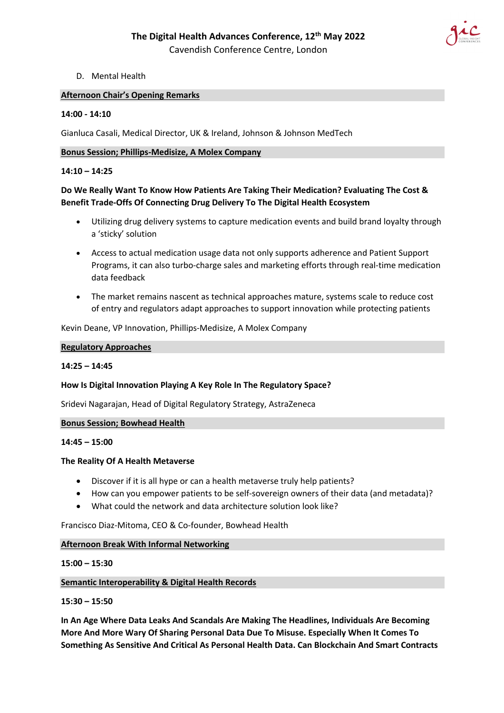

## D. Mental Health

## **Afternoon Chair's Opening Remarks**

## **14:00 - 14:10**

Gianluca Casali, Medical Director, UK & Ireland, Johnson & Johnson MedTech

### **Bonus Session; Phillips-Medisize, A Molex Company**

## **14:10 – 14:25**

# **Do We Really Want To Know How Patients Are Taking Their Medication? Evaluating The Cost & Benefit Trade-Offs Of Connecting Drug Delivery To The Digital Health Ecosystem**

- Utilizing drug delivery systems to capture medication events and build brand loyalty through a 'sticky' solution
- Access to actual medication usage data not only supports adherence and Patient Support Programs, it can also turbo-charge sales and marketing efforts through real-time medication data feedback
- The market remains nascent as technical approaches mature, systems scale to reduce cost of entry and regulators adapt approaches to support innovation while protecting patients

Kevin Deane, VP Innovation, Phillips-Medisize, A Molex Company

#### **Regulatory Approaches**

## **14:25 – 14:45**

## **How Is Digital Innovation Playing A Key Role In The Regulatory Space?**

Sridevi Nagarajan, Head of Digital Regulatory Strategy, AstraZeneca

#### **Bonus Session; Bowhead Health**

#### **14:45 – 15:00**

## **The Reality Of A Health Metaverse**

- Discover if it is all hype or can a health metaverse truly help patients?
- How can you empower patients to be self-sovereign owners of their data (and metadata)?
- What could the network and data architecture solution look like?

Francisco Diaz-Mitoma, CEO & Co-founder, Bowhead Health

## **Afternoon Break With Informal Networking**

## **15:00 – 15:30**

## **Semantic Interoperability & Digital Health Records**

## **15:30 – 15:50**

**In An Age Where Data Leaks And Scandals Are Making The Headlines, Individuals Are Becoming More And More Wary Of Sharing Personal Data Due To Misuse. Especially When It Comes To Something As Sensitive And Critical As Personal Health Data. Can Blockchain And Smart Contracts**